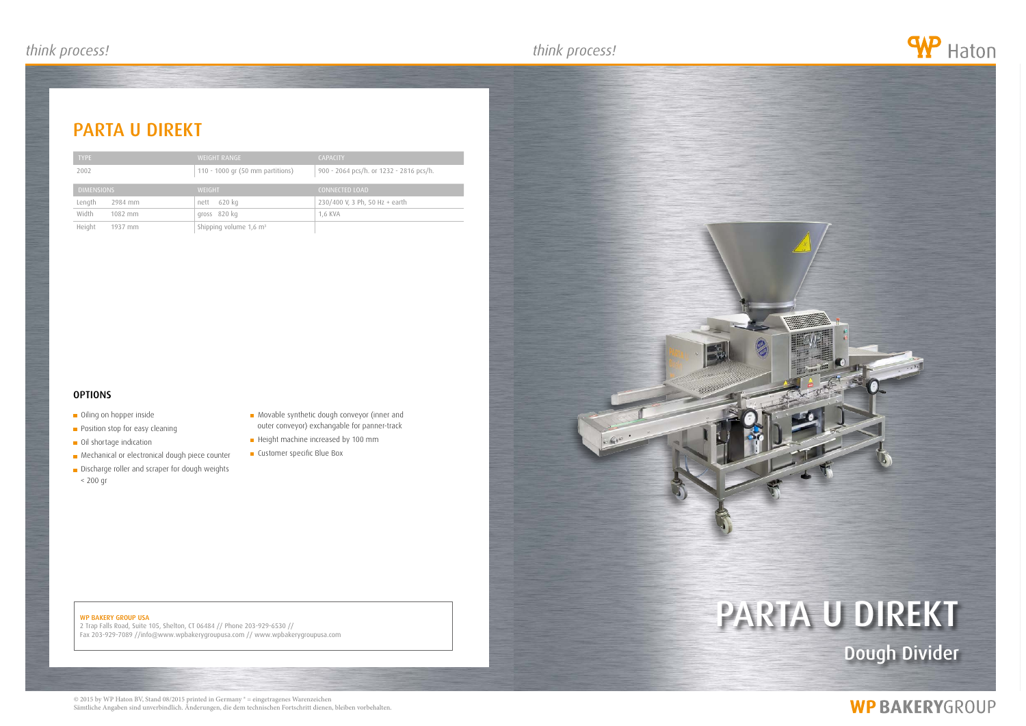

2 Trap Falls Road, Suite 105, Shelton, CT 06484 // Phone 203-929-6530 // Fax 203-929-7089 //info@www.wpbakerygroupusa.com // www.wpbakerygroupusa.com

# parta u direkt Dough Divider

## **WP BAKERYGROUP**

## parta u direkt





- **Oiling on hopper inside**
- **Position stop for easy cleaning**
- **Oil shortage indication**
- **Mechanical or electronical dough piece counter**
- **Discharge roller and scraper for dough weights**
- < 200 gr
- **Movable synthetic dough conveyor (inner and** outer conveyor) exchangable for panner-track
- Height machine increased by 100 mm
- **Customer specific Blue Box**

| <b>TYPE</b>       | <b>WEIGHT RANGE</b>                | <b>CAPACITY</b>                         |
|-------------------|------------------------------------|-----------------------------------------|
| 2002              | 110 - 1000 gr (50 mm partitions)   | 900 - 2064 pcs/h. or 1232 - 2816 pcs/h. |
| <b>DIMENSIONS</b> | <b>WEIGHT</b>                      | <b>CONNECTED LOAD</b>                   |
| Length<br>2984 mm | 620 kg<br>nett                     | 230/400 V, 3 Ph, 50 Hz + earth          |
| Width<br>1082 mm  | gross 820 kg                       | 1,6 KVA                                 |
| Height<br>1937 mm | Shipping volume 1,6 m <sup>3</sup> |                                         |

### **OPTIONS**